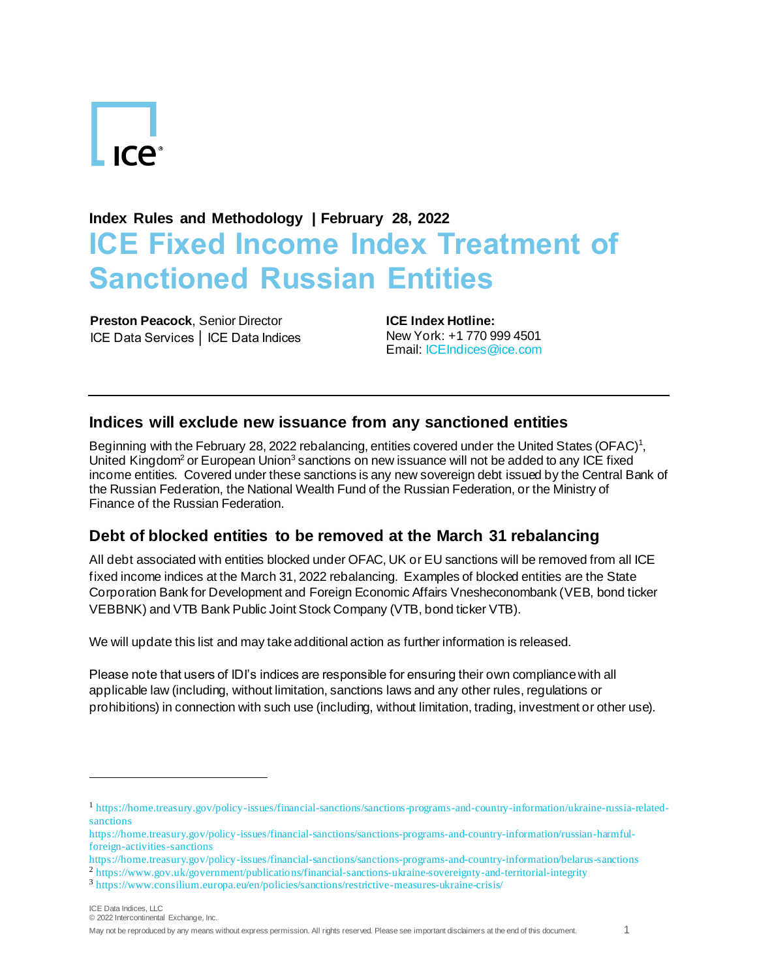# **ICA**<sup>•</sup>

## **Index Rules and Methodology | February 28, 2022 ICE Fixed Income Index Treatment of Sanctioned Russian Entities**

**Preston Peacock**, Senior Director ICE Data Services │ ICE Data Indices **ICE Index Hotline:** New York: +1 770 999 4501 Email[: ICEIndices@ice.com](mailto:ICEIndices@ice.com)

#### **Indices will exclude new issuance from any sanctioned entities**

Beginning with the February 28, 2022 rebalancing, entities covered under the United States (OFAC)<sup>1</sup>, United Kingdom<sup>2</sup> or European Union<sup>3</sup> sanctions on new issuance will not be added to any ICE fixed income entities. Covered under these sanctions is any new sovereign debt issued by the Central Bank of the Russian Federation, the National Wealth Fund of the Russian Federation, or the Ministry of Finance of the Russian Federation.

### **Debt of blocked entities to be removed at the March 31 rebalancing**

All debt associated with entities blocked under OFAC, UK or EU sanctions will be removed from all ICE fixed income indices at the March 31, 2022 rebalancing. Examples of blocked entities are the State Corporation Bank for Development and Foreign Economic Affairs Vnesheconombank (VEB, bond ticker VEBBNK) and VTB Bank Public Joint Stock Company (VTB, bond ticker VTB).

We will update this list and may take additional action as further information is released.

Please note that users of IDI's indices are responsible for ensuring their own compliance with all applicable law (including, without limitation, sanctions laws and any other rules, regulations or prohibitions) in connection with such use (including, without limitation, trading, investment or other use).

<sup>1</sup> [https://home.treasury.gov/policy-issues/financial-sanctions/sanctions-programs-and-country-information/ukraine-russia-related](https://home.treasury.gov/policy-issues/financial-sanctions/sanctions-programs-and-country-information/ukraine-russia-related-sanctions)[sanctions](https://home.treasury.gov/policy-issues/financial-sanctions/sanctions-programs-and-country-information/ukraine-russia-related-sanctions)

[https://home.treasury.gov/policy-issues/financial-sanctions/sanctions-programs-and-country-information/russian-harmful](https://home.treasury.gov/policy-issues/financial-sanctions/sanctions-programs-and-country-information/russian-harmful-foreign-activities-sanctions)[foreign-activities-sanctions](https://home.treasury.gov/policy-issues/financial-sanctions/sanctions-programs-and-country-information/russian-harmful-foreign-activities-sanctions)

<https://home.treasury.gov/policy-issues/financial-sanctions/sanctions-programs-and-country-information/belarus-sanctions> <sup>2</sup> <https://www.gov.uk/government/publications/financial-sanctions-ukraine-sovereignty-and-territorial-integrity>

<sup>3</sup> <https://www.consilium.europa.eu/en/policies/sanctions/restrictive-measures-ukraine-crisis/>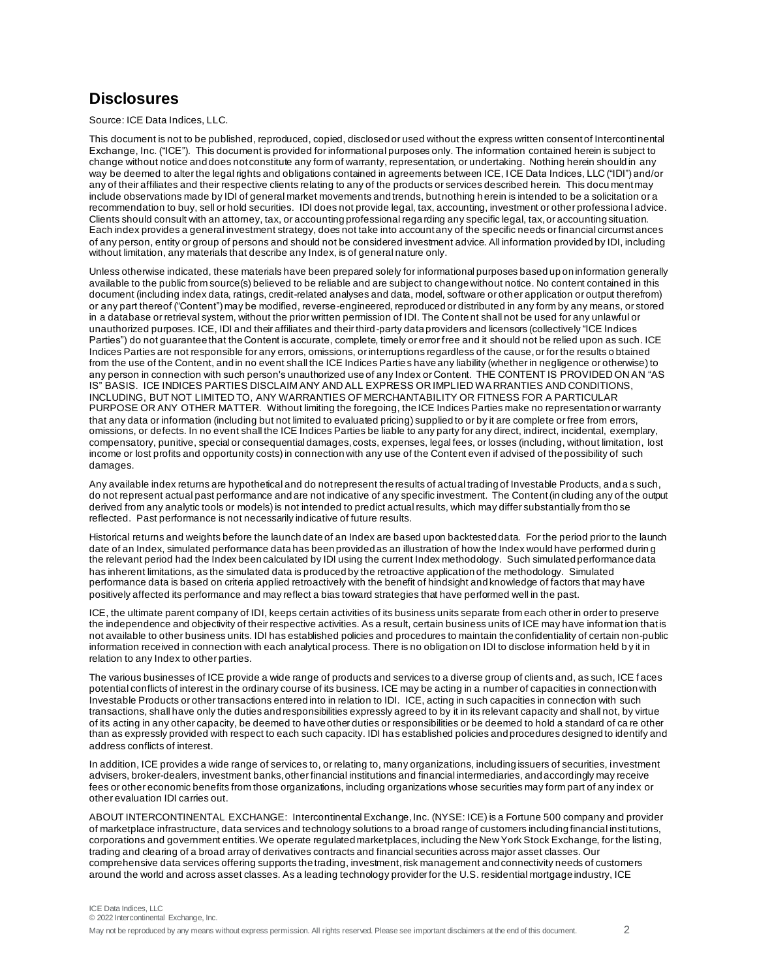#### **Disclosures**

Source: ICE Data Indices, LLC.

This document is not to be published, reproduced, copied, disclosed or used without the express written consent of Intercontinental Exchange, Inc. ("ICE"). This document is provided for informational purposes only. The information contained herein is subject to change without notice and does not constitute any form of warranty, representation, or undertaking. Nothing herein should in any way be deemed to alter the legal rights and obligations contained in agreements between ICE, ICE Data Indices, LLC ("IDI") and/or any of their affiliates and their respective clients relating to any of the products or services described herein. This docu ment may include observations made by IDI of general market movements and trends, but nothing h erein is intended to be a solicitation or a recommendation to buy, sell or hold securities. IDI does not provide legal, tax, accounting, investment or other professiona l advice. Clients should consult with an attorney, tax, or accounting professional regarding any specific legal, tax, or accounting situation. Each index provides a general investment strategy, does not take into account any of the specific needs or financial circumst ances of any person, entity or group of persons and should not be considered investment advice. All information provided by IDI, including without limitation, any materials that describe any Index, is of general nature only.

Unless otherwise indicated, these materials have been prepared solely for informational purposes based up on information generally available to the public from source(s) believed to be reliable and are subject to change without notice. No content contained in this document (including index data, ratings, credit-related analyses and data, model, software or other application or output therefrom) or any part thereof ("Content") may be modified, reverse-engineered, reproduced or distributed in any form by any means, or stored in a database or retrieval system, without the prior written permission of IDI. The Conte nt shall not be used for any unlawful or unauthorized purposes. ICE, IDI and their affiliates and their third-party data providers and licensors (collectively "ICE Indices Parties") do not guarantee that the Content is accurate, complete, timely or error free and it should not be relied upon as such. ICE Indices Parties are not responsible for any errors, omissions, or interruptions regardless of the cause, or for the results o btained from the use of the Content, and in no event shall the ICE Indices Parties have any liability (whether in negligence or otherwise) to any person in connection with such person's unauthorized use of any Index or Content. THE CONTENT IS PROVIDED ON AN "AS IS" BASIS. ICE INDICES PARTIES DISCLAIM ANY AND ALL EXPRESS OR IMPLIED WARRANTIES AND CONDITIONS, INCLUDING, BUT NOT LIMITED TO, ANY WARRANTIES OF MERCHANTABILITY OR FITNESS FOR A PARTICULAR PURPOSE OR ANY OTHER MATTER. Without limiting the foregoing, the ICE Indices Parties make no representation or warranty that any data or information (including but not limited to evaluated pricing) supplied to or by it are complete or free from errors, omissions, or defects. In no event shall the ICE Indices Parties be liable to any party for any direct, indirect, incidental, exemplary, compensatory, punitive, special or consequential damages, costs, expenses, legal fees, or losses (including, without limitation, lost income or lost profits and opportunity costs) in connection with any use of the Content even if advised of the possibility of such damages.

Any available index returns are hypothetical and do not represent the results of actual trading of Investable Products, and a s such, do not represent actual past performance and are not indicative of any specific investment. The Content (in cluding any of the output derived from any analytic tools or models) is not intended to predict actual results, which may differ substantially from tho se reflected. Past performance is not necessarily indicative of future results.

Historical returns and weights before the launch date of an Index are based upon backtested data. For the period prior to the launch date of an Index, simulated performance data has been provided as an illustration of how the Index would have performed durin g the relevant period had the Index been calculated by IDI using the current Index methodology. Such simulated performance data has inherent limitations, as the simulated data is produced by the retroactive application of the methodology. Simulated performance data is based on criteria applied retroactively with the benefit of hindsight and knowledge of factors that may have positively affected its performance and may reflect a bias toward strategies that have performed well in the past.

ICE, the ultimate parent company of IDI, keeps certain activities of its business units separate from each other in order to preserve the independence and objectivity of their respective activities. As a result, certain business units of ICE may have informat ion that is not available to other business units. IDI has established policies and procedures to maintain the confidentiality of certain non-public information received in connection with each analytical process. There is no obligation on IDI to disclose information held b y it in relation to any Index to other parties.

The various businesses of ICE provide a wide range of products and services to a diverse group of clients and, as such, ICE faces potential conflicts of interest in the ordinary course of its business. ICE may be acting in a number of capacities in connection with Investable Products or other transactions entered into in relation to IDI. ICE, acting in such capacities in connection with such transactions, shall have only the duties and responsibilities expressly agreed to by it in its relevant capacity and shall not, by virtue of its acting in any other capacity, be deemed to have other duties or responsibilities or be deemed to hold a standard of ca re other than as expressly provided with respect to each such capacity. IDI has established policies and procedures designed to identify and address conflicts of interest.

In addition, ICE provides a wide range of services to, or relating to, many organizations, including issuers of securities, investment advisers, broker-dealers, investment banks, other financial institutions and financial intermediaries, and accordingly may receive fees or other economic benefits from those organizations, including organizations whose securities may form part of any index or other evaluation IDI carries out.

ABOUT INTERCONTINENTAL EXCHANGE: Intercontinental Exchange, Inc. (NYSE: ICE) is a Fortune 500 company and provider of marketplace infrastructure, data services and technology solutions to a broad range of customers including financial institutions, corporations and government entities. We operate regulated marketplaces, including the New York Stock Exchange, for the listing, trading and clearing of a broad array of derivatives contracts and financial securities across major asset classes. Our comprehensive data services offering supports the trading, investment, risk management and connectivity needs of customers around the world and across asset classes. As a leading technology provider for the U.S. residential mortgage industry, ICE